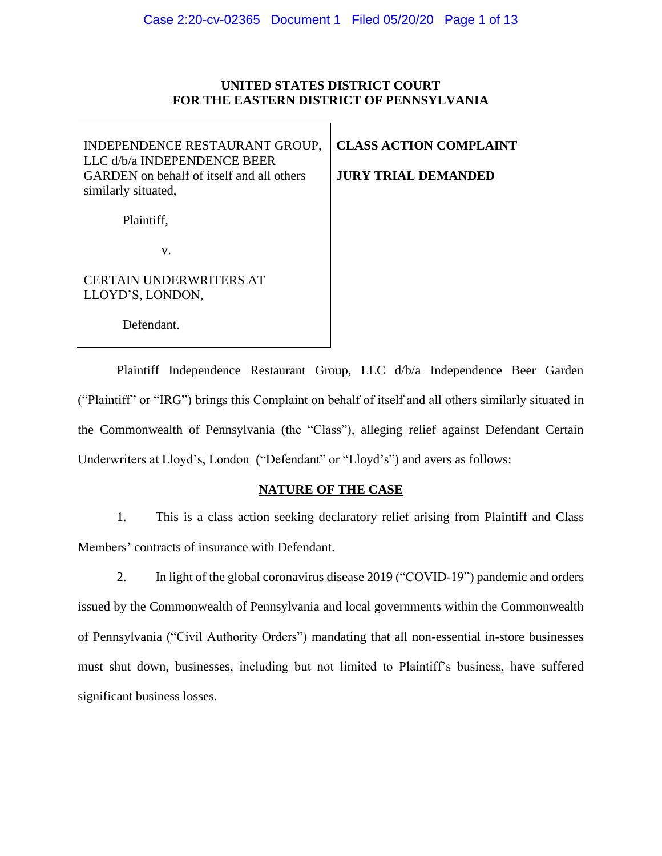# **UNITED STATES DISTRICT COURT FOR THE EASTERN DISTRICT OF PENNSYLVANIA**

INDEPENDENCE RESTAURANT GROUP, LLC d/b/a INDEPENDENCE BEER GARDEN on behalf of itself and all others similarly situated,

**CLASS ACTION COMPLAINT**

**JURY TRIAL DEMANDED**

Plaintiff,

v.

CERTAIN UNDERWRITERS AT LLOYD'S, LONDON,

Defendant.

Plaintiff Independence Restaurant Group, LLC d/b/a Independence Beer Garden ("Plaintiff" or "IRG") brings this Complaint on behalf of itself and all others similarly situated in the Commonwealth of Pennsylvania (the "Class"), alleging relief against Defendant Certain Underwriters at Lloyd's, London ("Defendant" or "Lloyd's") and avers as follows:

# **NATURE OF THE CASE**

1. This is a class action seeking declaratory relief arising from Plaintiff and Class Members' contracts of insurance with Defendant.

2. In light of the global coronavirus disease 2019 ("COVID-19") pandemic and orders issued by the Commonwealth of Pennsylvania and local governments within the Commonwealth of Pennsylvania ("Civil Authority Orders") mandating that all non-essential in-store businesses must shut down, businesses, including but not limited to Plaintiff's business, have suffered significant business losses.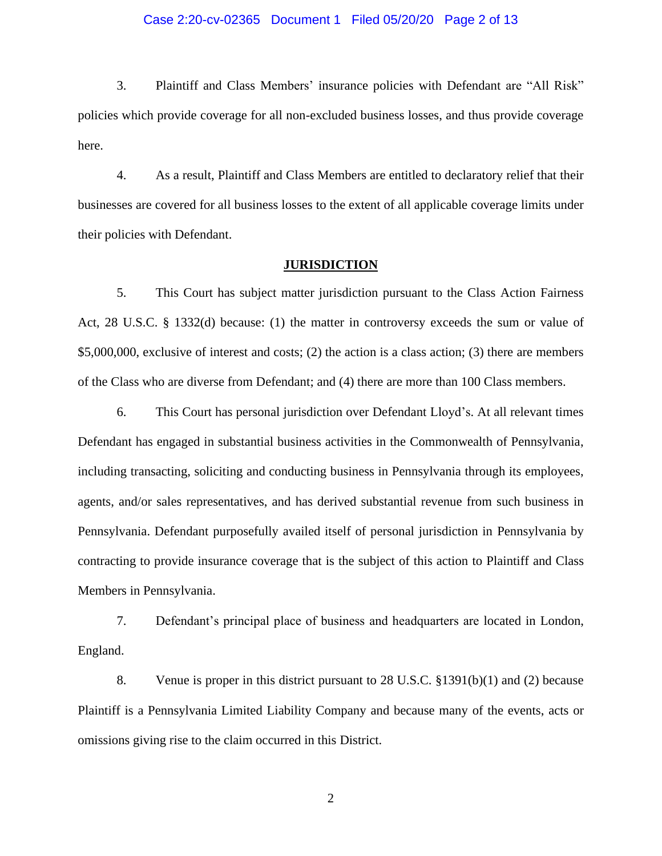### Case 2:20-cv-02365 Document 1 Filed 05/20/20 Page 2 of 13

3. Plaintiff and Class Members' insurance policies with Defendant are "All Risk" policies which provide coverage for all non-excluded business losses, and thus provide coverage here.

4. As a result, Plaintiff and Class Members are entitled to declaratory relief that their businesses are covered for all business losses to the extent of all applicable coverage limits under their policies with Defendant.

## **JURISDICTION**

5. This Court has subject matter jurisdiction pursuant to the Class Action Fairness Act, 28 U.S.C. § 1332(d) because: (1) the matter in controversy exceeds the sum or value of \$5,000,000, exclusive of interest and costs; (2) the action is a class action; (3) there are members of the Class who are diverse from Defendant; and (4) there are more than 100 Class members.

6. This Court has personal jurisdiction over Defendant Lloyd's. At all relevant times Defendant has engaged in substantial business activities in the Commonwealth of Pennsylvania, including transacting, soliciting and conducting business in Pennsylvania through its employees, agents, and/or sales representatives, and has derived substantial revenue from such business in Pennsylvania. Defendant purposefully availed itself of personal jurisdiction in Pennsylvania by contracting to provide insurance coverage that is the subject of this action to Plaintiff and Class Members in Pennsylvania.

7. Defendant's principal place of business and headquarters are located in London, England.

8. Venue is proper in this district pursuant to 28 U.S.C. §1391(b)(1) and (2) because Plaintiff is a Pennsylvania Limited Liability Company and because many of the events, acts or omissions giving rise to the claim occurred in this District.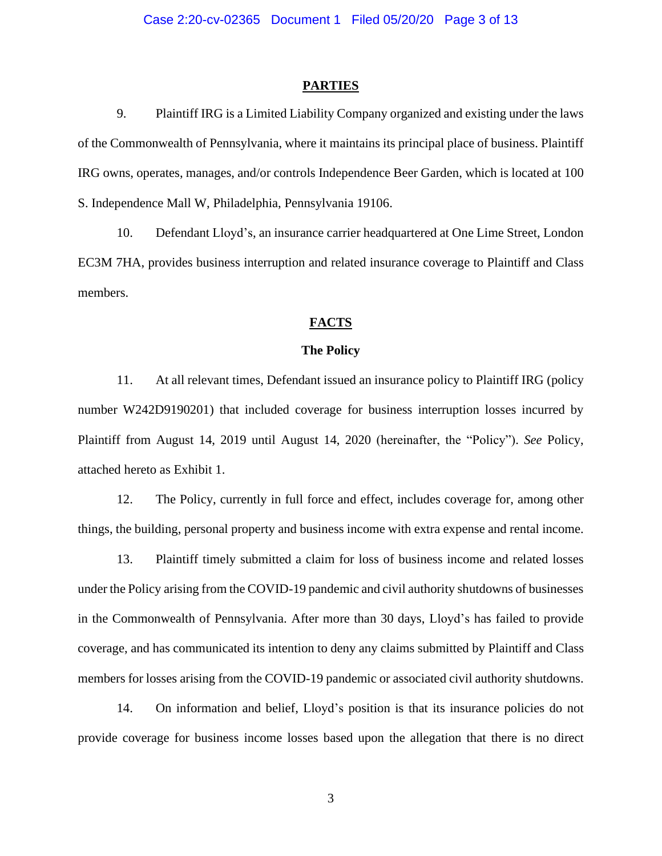#### **PARTIES**

9. Plaintiff IRG is a Limited Liability Company organized and existing under the laws of the Commonwealth of Pennsylvania, where it maintains its principal place of business. Plaintiff IRG owns, operates, manages, and/or controls Independence Beer Garden, which is located at 100 S. Independence Mall W, Philadelphia, Pennsylvania 19106.

10. Defendant Lloyd's, an insurance carrier headquartered at One Lime Street, London EC3M 7HA, provides business interruption and related insurance coverage to Plaintiff and Class members.

## **FACTS**

#### **The Policy**

11. At all relevant times, Defendant issued an insurance policy to Plaintiff IRG (policy number W242D9190201) that included coverage for business interruption losses incurred by Plaintiff from August 14, 2019 until August 14, 2020 (hereinafter, the "Policy"). *See* Policy, attached hereto as Exhibit 1.

12. The Policy, currently in full force and effect, includes coverage for, among other things, the building, personal property and business income with extra expense and rental income.

13. Plaintiff timely submitted a claim for loss of business income and related losses under the Policy arising from the COVID-19 pandemic and civil authority shutdowns of businesses in the Commonwealth of Pennsylvania. After more than 30 days, Lloyd's has failed to provide coverage, and has communicated its intention to deny any claims submitted by Plaintiff and Class members for losses arising from the COVID-19 pandemic or associated civil authority shutdowns.

14. On information and belief, Lloyd's position is that its insurance policies do not provide coverage for business income losses based upon the allegation that there is no direct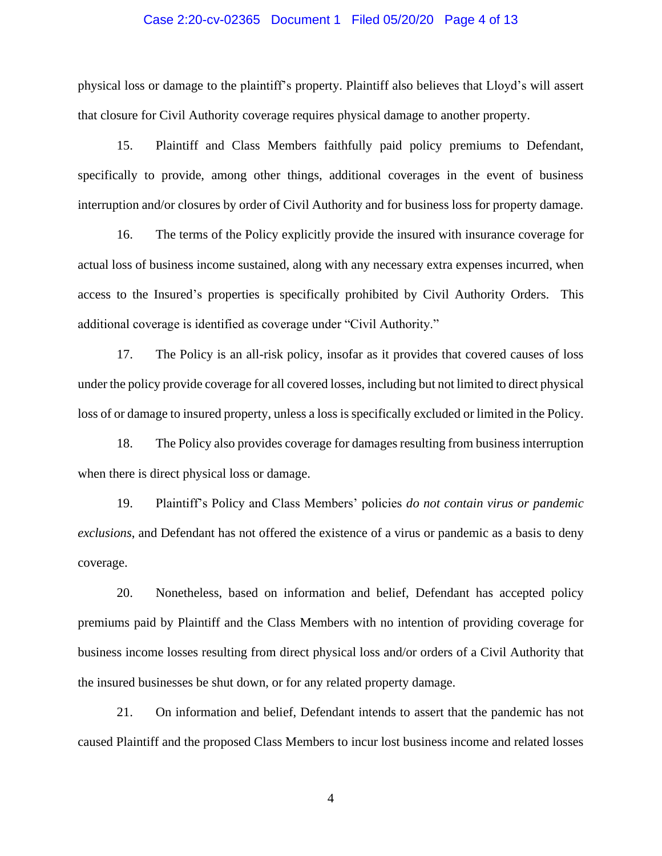### Case 2:20-cv-02365 Document 1 Filed 05/20/20 Page 4 of 13

physical loss or damage to the plaintiff's property. Plaintiff also believes that Lloyd's will assert that closure for Civil Authority coverage requires physical damage to another property.

15. Plaintiff and Class Members faithfully paid policy premiums to Defendant, specifically to provide, among other things, additional coverages in the event of business interruption and/or closures by order of Civil Authority and for business loss for property damage.

16. The terms of the Policy explicitly provide the insured with insurance coverage for actual loss of business income sustained, along with any necessary extra expenses incurred, when access to the Insured's properties is specifically prohibited by Civil Authority Orders. This additional coverage is identified as coverage under "Civil Authority."

17. The Policy is an all-risk policy, insofar as it provides that covered causes of loss under the policy provide coverage for all covered losses, including but not limited to direct physical loss of or damage to insured property, unless a loss is specifically excluded or limited in the Policy.

18. The Policy also provides coverage for damages resulting from business interruption when there is direct physical loss or damage.

19. Plaintiff's Policy and Class Members' policies *do not contain virus or pandemic exclusions*, and Defendant has not offered the existence of a virus or pandemic as a basis to deny coverage.

20. Nonetheless, based on information and belief, Defendant has accepted policy premiums paid by Plaintiff and the Class Members with no intention of providing coverage for business income losses resulting from direct physical loss and/or orders of a Civil Authority that the insured businesses be shut down, or for any related property damage.

21. On information and belief, Defendant intends to assert that the pandemic has not caused Plaintiff and the proposed Class Members to incur lost business income and related losses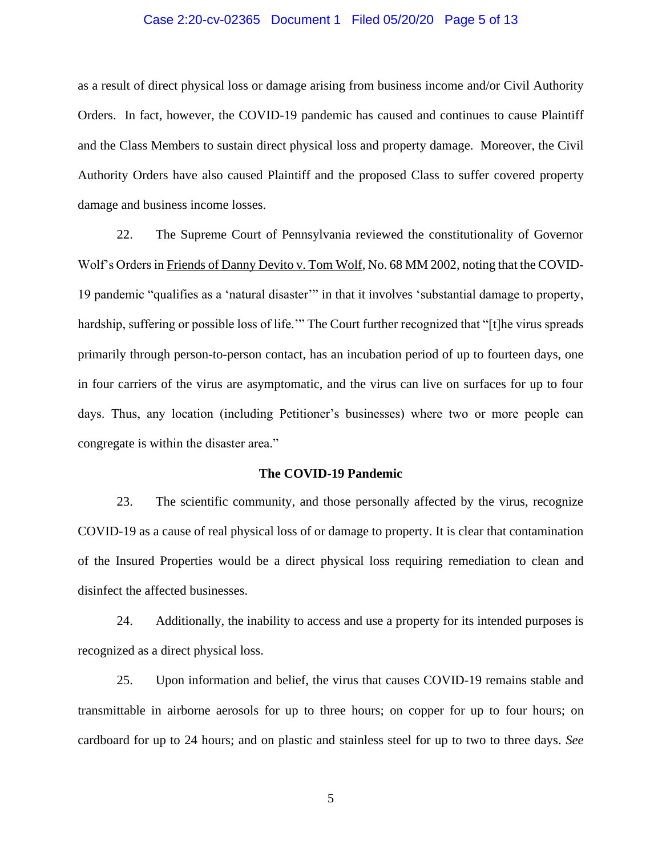### Case 2:20-cv-02365 Document 1 Filed 05/20/20 Page 5 of 13

as a result of direct physical loss or damage arising from business income and/or Civil Authority Orders. In fact, however, the COVID-19 pandemic has caused and continues to cause Plaintiff and the Class Members to sustain direct physical loss and property damage. Moreover, the Civil Authority Orders have also caused Plaintiff and the proposed Class to suffer covered property damage and business income losses.

22. The Supreme Court of Pennsylvania reviewed the constitutionality of Governor Wolf's Orders in Friends of Danny Devito v. Tom Wolf, No. 68 MM 2002, noting that the COVID-19 pandemic "qualifies as a 'natural disaster'" in that it involves 'substantial damage to property, hardship, suffering or possible loss of life.'" The Court further recognized that "[t]he virus spreads primarily through person-to-person contact, has an incubation period of up to fourteen days, one in four carriers of the virus are asymptomatic, and the virus can live on surfaces for up to four days. Thus, any location (including Petitioner's businesses) where two or more people can congregate is within the disaster area."

#### **The COVID-19 Pandemic**

23. The scientific community, and those personally affected by the virus, recognize COVID-19 as a cause of real physical loss of or damage to property. It is clear that contamination of the Insured Properties would be a direct physical loss requiring remediation to clean and disinfect the affected businesses.

24. Additionally, the inability to access and use a property for its intended purposes is recognized as a direct physical loss.

25. Upon information and belief, the virus that causes COVID-19 remains stable and transmittable in airborne aerosols for up to three hours; on copper for up to four hours; on cardboard for up to 24 hours; and on plastic and stainless steel for up to two to three days. *See*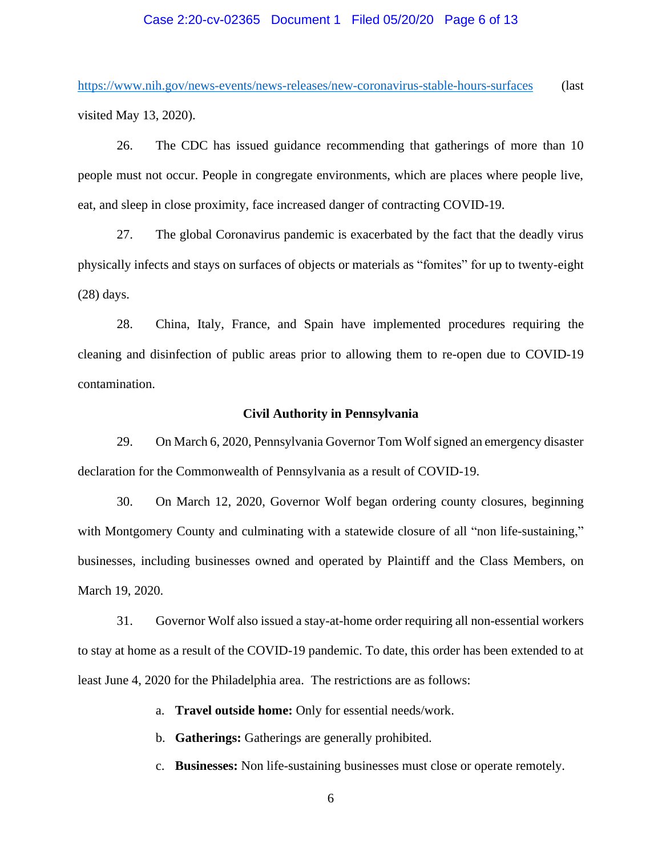## Case 2:20-cv-02365 Document 1 Filed 05/20/20 Page 6 of 13

<https://www.nih.gov/news-events/news-releases/new-coronavirus-stable-hours-surfaces> (last visited May 13, 2020).

26. The CDC has issued guidance recommending that gatherings of more than 10 people must not occur. People in congregate environments, which are places where people live, eat, and sleep in close proximity, face increased danger of contracting COVID-19.

27. The global Coronavirus pandemic is exacerbated by the fact that the deadly virus physically infects and stays on surfaces of objects or materials as "fomites" for up to twenty-eight (28) days.

28. China, Italy, France, and Spain have implemented procedures requiring the cleaning and disinfection of public areas prior to allowing them to re-open due to COVID-19 contamination.

### **Civil Authority in Pennsylvania**

29. On March 6, 2020, Pennsylvania Governor Tom Wolfsigned an emergency disaster declaration for the Commonwealth of Pennsylvania as a result of COVID-19.

30. On March 12, 2020, Governor Wolf began ordering county closures, beginning with Montgomery County and culminating with a statewide closure of all "non life-sustaining," businesses, including businesses owned and operated by Plaintiff and the Class Members, on March 19, 2020.

31. Governor Wolf also issued a stay-at-home order requiring all non-essential workers to stay at home as a result of the COVID-19 pandemic. To date, this order has been extended to at least June 4, 2020 for the Philadelphia area. The restrictions are as follows:

a. **Travel outside home:** Only for essential needs/work.

b. **Gatherings:** Gatherings are generally prohibited.

c. **Businesses:** Non life-sustaining businesses must close or operate remotely.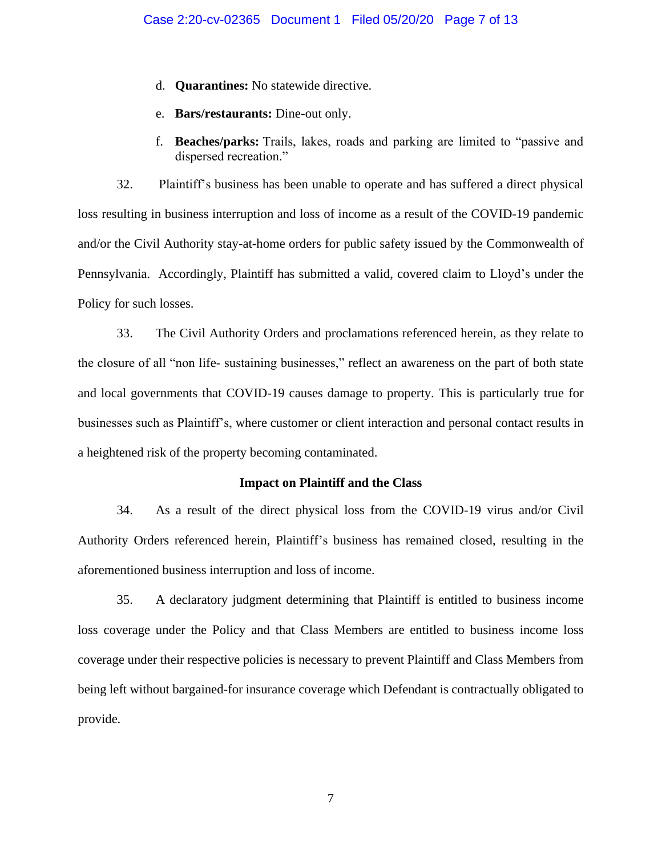- d. **Quarantines:** No statewide directive.
- e. **Bars/restaurants:** Dine-out only.
- f. **Beaches/parks:** Trails, lakes, roads and parking are limited to "passive and dispersed recreation."

32. Plaintiff's business has been unable to operate and has suffered a direct physical loss resulting in business interruption and loss of income as a result of the COVID-19 pandemic and/or the Civil Authority stay-at-home orders for public safety issued by the Commonwealth of Pennsylvania. Accordingly, Plaintiff has submitted a valid, covered claim to Lloyd's under the Policy for such losses.

33. The Civil Authority Orders and proclamations referenced herein, as they relate to the closure of all "non life- sustaining businesses," reflect an awareness on the part of both state and local governments that COVID-19 causes damage to property. This is particularly true for businesses such as Plaintiff's, where customer or client interaction and personal contact results in a heightened risk of the property becoming contaminated.

### **Impact on Plaintiff and the Class**

34. As a result of the direct physical loss from the COVID-19 virus and/or Civil Authority Orders referenced herein, Plaintiff's business has remained closed, resulting in the aforementioned business interruption and loss of income.

35. A declaratory judgment determining that Plaintiff is entitled to business income loss coverage under the Policy and that Class Members are entitled to business income loss coverage under their respective policies is necessary to prevent Plaintiff and Class Members from being left without bargained-for insurance coverage which Defendant is contractually obligated to provide.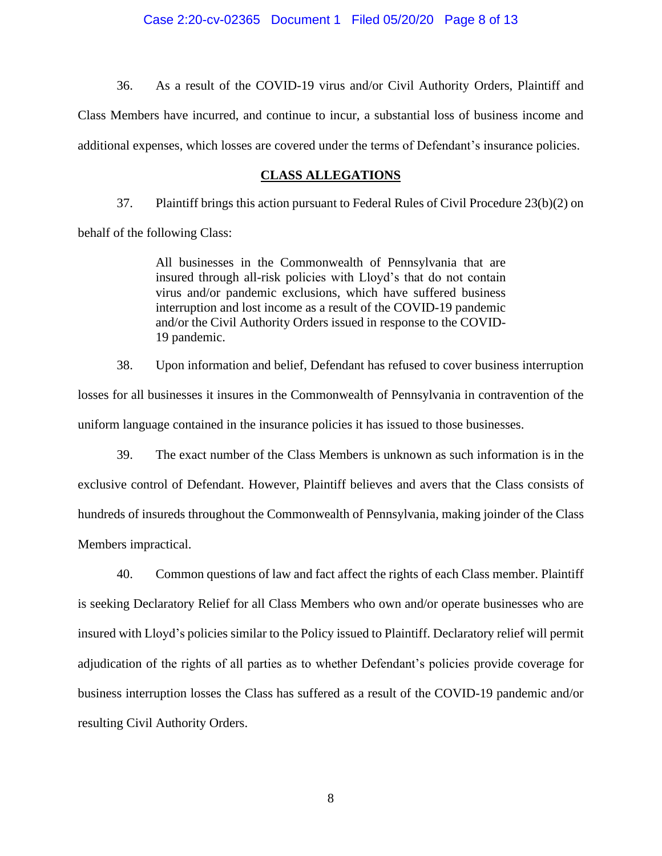36. As a result of the COVID-19 virus and/or Civil Authority Orders, Plaintiff and Class Members have incurred, and continue to incur, a substantial loss of business income and additional expenses, which losses are covered under the terms of Defendant's insurance policies.

## **CLASS ALLEGATIONS**

37. Plaintiff brings this action pursuant to Federal Rules of Civil Procedure 23(b)(2) on

behalf of the following Class:

All businesses in the Commonwealth of Pennsylvania that are insured through all-risk policies with Lloyd's that do not contain virus and/or pandemic exclusions, which have suffered business interruption and lost income as a result of the COVID-19 pandemic and/or the Civil Authority Orders issued in response to the COVID-19 pandemic.

38. Upon information and belief, Defendant has refused to cover business interruption losses for all businesses it insures in the Commonwealth of Pennsylvania in contravention of the uniform language contained in the insurance policies it has issued to those businesses.

39. The exact number of the Class Members is unknown as such information is in the exclusive control of Defendant. However, Plaintiff believes and avers that the Class consists of hundreds of insureds throughout the Commonwealth of Pennsylvania, making joinder of the Class Members impractical.

40. Common questions of law and fact affect the rights of each Class member. Plaintiff is seeking Declaratory Relief for all Class Members who own and/or operate businesses who are insured with Lloyd's policies similar to the Policy issued to Plaintiff. Declaratory relief will permit adjudication of the rights of all parties as to whether Defendant's policies provide coverage for business interruption losses the Class has suffered as a result of the COVID-19 pandemic and/or resulting Civil Authority Orders.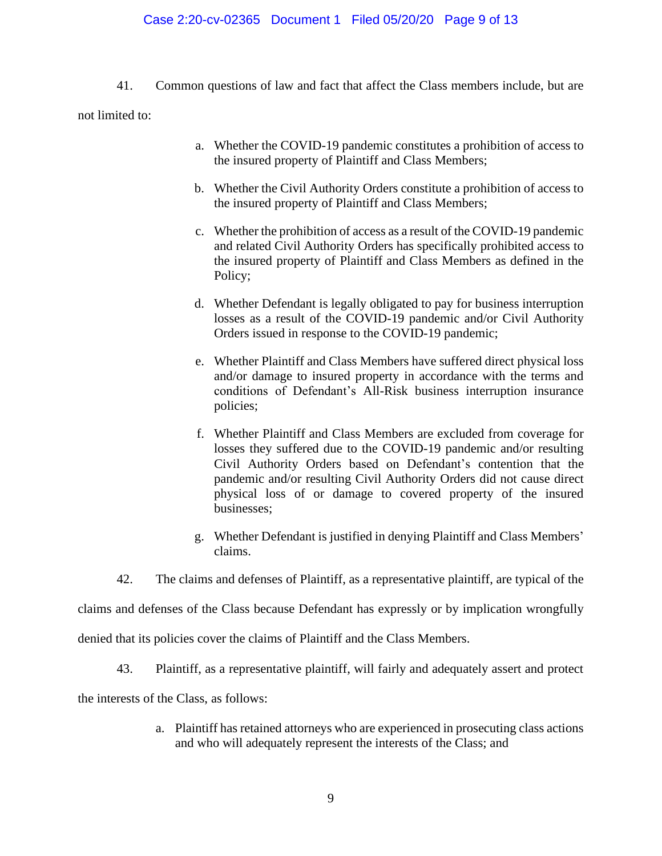## Case 2:20-cv-02365 Document 1 Filed 05/20/20 Page 9 of 13

- 41. Common questions of law and fact that affect the Class members include, but are not limited to:
	- a. Whether the COVID-19 pandemic constitutes a prohibition of access to the insured property of Plaintiff and Class Members;
	- b. Whether the Civil Authority Orders constitute a prohibition of access to the insured property of Plaintiff and Class Members;
	- c. Whether the prohibition of access as a result of the COVID-19 pandemic and related Civil Authority Orders has specifically prohibited access to the insured property of Plaintiff and Class Members as defined in the Policy;
	- d. Whether Defendant is legally obligated to pay for business interruption losses as a result of the COVID-19 pandemic and/or Civil Authority Orders issued in response to the COVID-19 pandemic;
	- e. Whether Plaintiff and Class Members have suffered direct physical loss and/or damage to insured property in accordance with the terms and conditions of Defendant's All-Risk business interruption insurance policies;
	- f. Whether Plaintiff and Class Members are excluded from coverage for losses they suffered due to the COVID-19 pandemic and/or resulting Civil Authority Orders based on Defendant's contention that the pandemic and/or resulting Civil Authority Orders did not cause direct physical loss of or damage to covered property of the insured businesses;
	- g. Whether Defendant is justified in denying Plaintiff and Class Members' claims.
	- 42. The claims and defenses of Plaintiff, as a representative plaintiff, are typical of the

claims and defenses of the Class because Defendant has expressly or by implication wrongfully

denied that its policies cover the claims of Plaintiff and the Class Members.

43. Plaintiff, as a representative plaintiff, will fairly and adequately assert and protect

the interests of the Class, as follows:

a. Plaintiff has retained attorneys who are experienced in prosecuting class actions and who will adequately represent the interests of the Class; and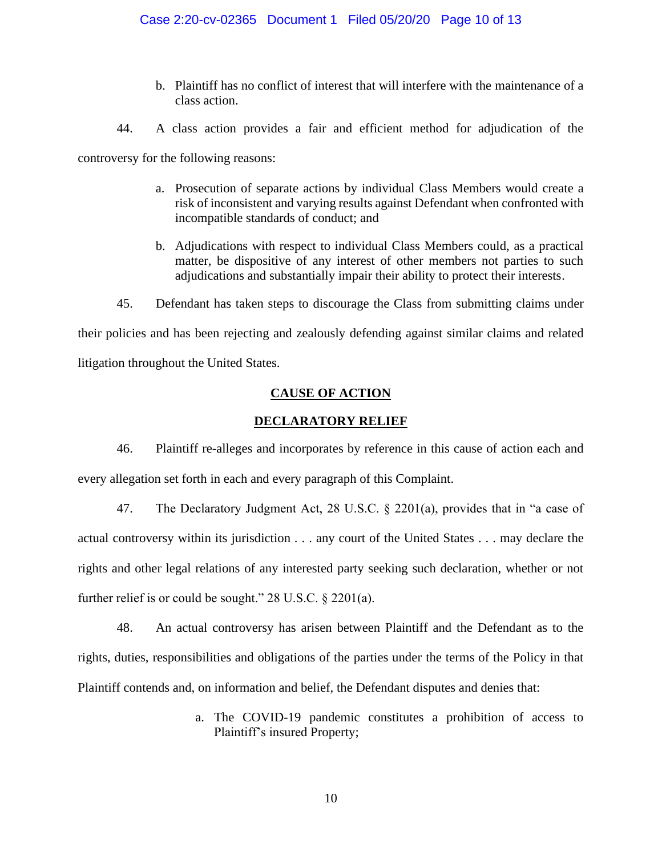- b. Plaintiff has no conflict of interest that will interfere with the maintenance of a class action.
- 44. A class action provides a fair and efficient method for adjudication of the

controversy for the following reasons:

- a. Prosecution of separate actions by individual Class Members would create a risk of inconsistent and varying results against Defendant when confronted with incompatible standards of conduct; and
- b. Adjudications with respect to individual Class Members could, as a practical matter, be dispositive of any interest of other members not parties to such adjudications and substantially impair their ability to protect their interests.
- 45. Defendant has taken steps to discourage the Class from submitting claims under

their policies and has been rejecting and zealously defending against similar claims and related litigation throughout the United States.

## **CAUSE OF ACTION**

## **DECLARATORY RELIEF**

46. Plaintiff re-alleges and incorporates by reference in this cause of action each and every allegation set forth in each and every paragraph of this Complaint.

47. The Declaratory Judgment Act, 28 U.S.C. § 2201(a), provides that in "a case of actual controversy within its jurisdiction . . . any court of the United States . . . may declare the rights and other legal relations of any interested party seeking such declaration, whether or not further relief is or could be sought." 28 U.S.C. § 2201(a).

48. An actual controversy has arisen between Plaintiff and the Defendant as to the rights, duties, responsibilities and obligations of the parties under the terms of the Policy in that Plaintiff contends and, on information and belief, the Defendant disputes and denies that:

> a. The COVID-19 pandemic constitutes a prohibition of access to Plaintiff's insured Property;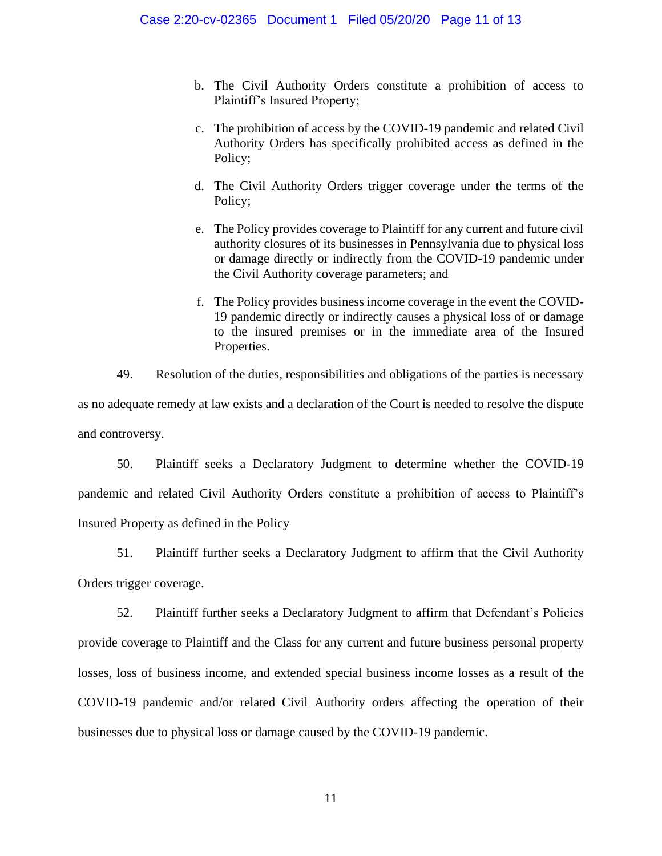- b. The Civil Authority Orders constitute a prohibition of access to Plaintiff's Insured Property;
- c. The prohibition of access by the COVID-19 pandemic and related Civil Authority Orders has specifically prohibited access as defined in the Policy;
- d. The Civil Authority Orders trigger coverage under the terms of the Policy;
- e. The Policy provides coverage to Plaintiff for any current and future civil authority closures of its businesses in Pennsylvania due to physical loss or damage directly or indirectly from the COVID-19 pandemic under the Civil Authority coverage parameters; and
- f. The Policy provides business income coverage in the event the COVID-19 pandemic directly or indirectly causes a physical loss of or damage to the insured premises or in the immediate area of the Insured Properties.

49. Resolution of the duties, responsibilities and obligations of the parties is necessary as no adequate remedy at law exists and a declaration of the Court is needed to resolve the dispute and controversy.

50. Plaintiff seeks a Declaratory Judgment to determine whether the COVID-19 pandemic and related Civil Authority Orders constitute a prohibition of access to Plaintiff's Insured Property as defined in the Policy

51. Plaintiff further seeks a Declaratory Judgment to affirm that the Civil Authority Orders trigger coverage.

52. Plaintiff further seeks a Declaratory Judgment to affirm that Defendant's Policies provide coverage to Plaintiff and the Class for any current and future business personal property losses, loss of business income, and extended special business income losses as a result of the COVID-19 pandemic and/or related Civil Authority orders affecting the operation of their businesses due to physical loss or damage caused by the COVID-19 pandemic.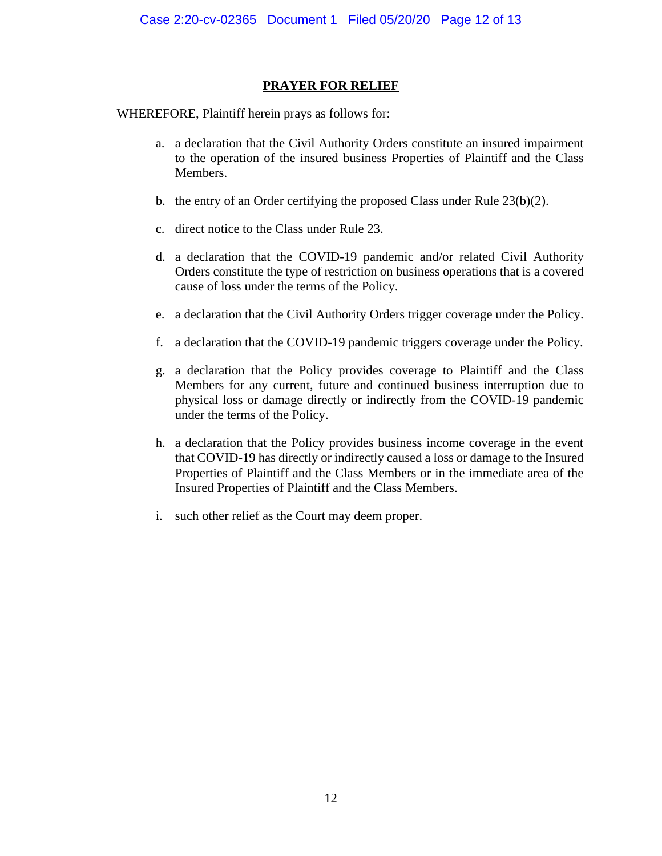## **PRAYER FOR RELIEF**

WHEREFORE, Plaintiff herein prays as follows for:

- a. a declaration that the Civil Authority Orders constitute an insured impairment to the operation of the insured business Properties of Plaintiff and the Class Members.
- b. the entry of an Order certifying the proposed Class under Rule 23(b)(2).
- c. direct notice to the Class under Rule 23.
- d. a declaration that the COVID-19 pandemic and/or related Civil Authority Orders constitute the type of restriction on business operations that is a covered cause of loss under the terms of the Policy.
- e. a declaration that the Civil Authority Orders trigger coverage under the Policy.
- f. a declaration that the COVID-19 pandemic triggers coverage under the Policy.
- g. a declaration that the Policy provides coverage to Plaintiff and the Class Members for any current, future and continued business interruption due to physical loss or damage directly or indirectly from the COVID-19 pandemic under the terms of the Policy.
- h. a declaration that the Policy provides business income coverage in the event that COVID-19 has directly or indirectly caused a loss or damage to the Insured Properties of Plaintiff and the Class Members or in the immediate area of the Insured Properties of Plaintiff and the Class Members.
- i. such other relief as the Court may deem proper.